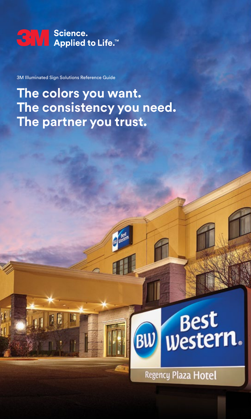

3M Illuminated Sign Solutions Reference Guide

## **The colors you want. The consistency you need. The partner you trust.**

# Best<br>western. BW

Regency Plaza Hotel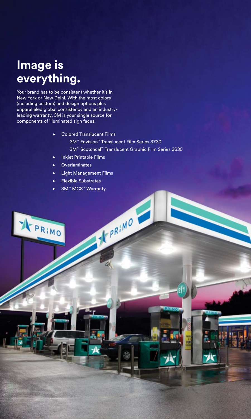### **Image is everything.**

A PRIMO

Your brand has to be consistent whether it's in New York or New Delhi. With the most colors (including custom) and design options plus unparalleled global consistency and an industryleading warranty, 3M is your single source for components of illuminated sign faces.

- $\triangleright$  Colored Translucent Films
	- 3M™ Envision™ Translucent Film Series 3730 3M™ Scotchcal™ Translucent Graphic Film Series 3630

T. P.R.I.MO

- **Inkjet Printable Films**
- $\blacktriangleright$  Overlaminates
- **Light Management Films**
- **Flexible Substrates**
- 3M™ MCS™ Warranty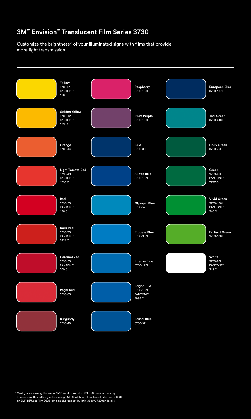#### **3M™ Envision™ Translucent Film Series 3730**

Customize the brightness\* of your illuminated signs with films that provide more light transmission.



\*Most graphics using film series 3730 on diffuser film 3735-50 provide more light transmission than other graphics using 3M™ Scotchcal™ Translucent Film Series 3630 on 3M™ Diffuser Film 3635-30. See 3M Product Bulletin 3630/3730 for details.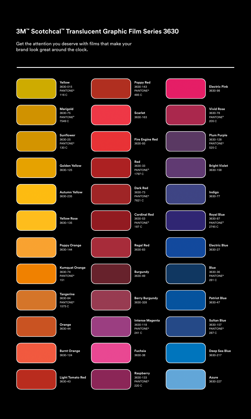### **3M™ Scotchcal™ Translucent Graphic Film Series 3630**

Get the attention you deserve with films that make your brand look great around the clock.

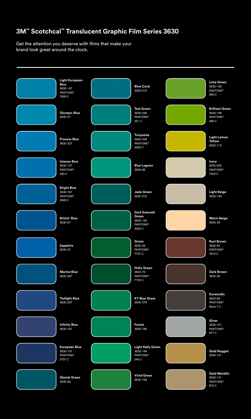### **3M™ Scotchcal™ Translucent Graphic Film Series 3630**

Get the attention you deserve with films that make your brand look great around the clock.

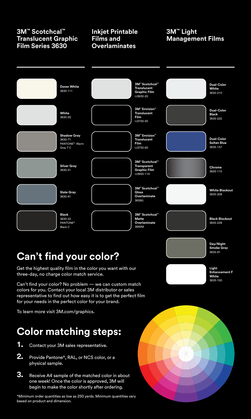#### **3M™ Scotchcal™ Translucent Graphic Film Series 3630**

#### **Inkjet Printable Films and Overlaminates**

#### **3M™ Light Management Films**



### **Can't find your color?**

Get the highest quality film in the color you want with our three-day, no charge color match service.

Can't find your color? No problem — we can custom match colors for you. Contact your local 3M distributor or sales representative to find out how easy it is to get the perfect film for your needs in the perfect color for your brand.

To learn more visit 3M.com/graphics.

### **Color matching steps:**

- **1.** Contact your 3M sales representative.
- **2.** Provide Pantone®, RAL, or NCS color, or a physical sample.
- **3.** Receive A4 sample of the matched color in about one week! Once the color is approved, 3M will begin to make the color shortly after ordering.

\*Minimum order quantities as low as 250 yards. Minimum quantities vary based on product and dimension.



**Smoke Gray** 3635-91

**Light Enhancement F White** 3635-100